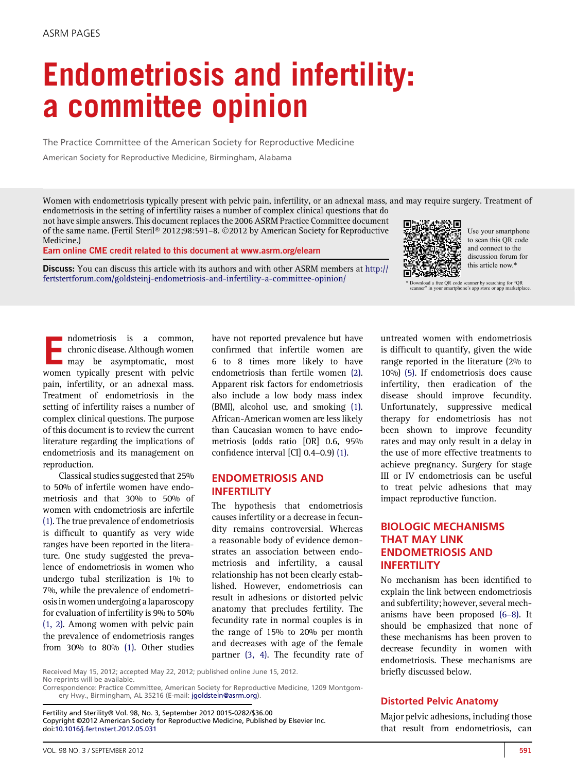# Endometriosis and infertility: a committee opinion

The Practice Committee of the American Society for Reproductive Medicine

American Society for Reproductive Medicine, Birmingham, Alabama

Women with endometriosis typically present with pelvic pain, infertility, or an adnexal mass, and may require surgery. Treatment of endometriosis in the setting of infertility raises a number of complex clinical questions that do

not have simple answers. This document replaces the 2006 ASRM Practice Committee document of the same name. (Fertil Steril® 2012;98:591-8. ©2012 by American Society for Reproductive Medicine.)

Earn online CME credit related to this document at [www.asrm.org/elearn](http://www.asrm.org/elearn)

Discuss: You can discuss this article with its authors and with other ASRM members at [http://](http://fertstertforum.com/goldsteinj-endometriosis-and-infertility-a-committee-opinion/) [fertstertforum.com/goldsteinj-endometriosis-and-infertility-a-committee-opinion/](http://fertstertforum.com/goldsteinj-endometriosis-and-infertility-a-committee-opinion/)



Use your smartphone to scan this QR code and connect to the discussion forum for this article now.\*

\* Download a free QR code scanner by searching for "QR scanner" in your smartphone's app store or app marketplace.

mdometriosis is a common,<br>chronic disease. Although women<br>may be asymptomatic. most chronic disease. Although women may be asymptomatic, most women typically present with pelvic pain, infertility, or an adnexal mass. Treatment of endometriosis in the setting of infertility raises a number of complex clinical questions. The purpose of this document is to review the current literature regarding the implications of endometriosis and its management on reproduction.

Classical studies suggested that 25% to 50% of infertile women have endometriosis and that 30% to 50% of women with endometriosis are infertile [\(1\).](#page-5-0) The true prevalence of endometriosis is difficult to quantify as very wide ranges have been reported in the literature. One study suggested the prevalence of endometriosis in women who undergo tubal sterilization is 1% to 7%, while the prevalence of endometriosis in women undergoing a laparoscopy for evaluation of infertility is 9% to 50% [\(1, 2\).](#page-5-0) Among women with pelvic pain the prevalence of endometriosis ranges from 30% to 80% [\(1\)](#page-5-0). Other studies have not reported prevalence but have confirmed that infertile women are 6 to 8 times more likely to have endometriosis than fertile women [\(2\)](#page-5-0). Apparent risk factors for endometriosis also include a low body mass index (BMI), alcohol use, and smoking [\(1\)](#page-5-0). African-American women are less likely than Caucasian women to have endometriosis (odds ratio [OR] 0.6, 95% confidence interval [CI] 0.4–0.9) [\(1\)](#page-5-0).

# ENDOMETRIOSIS AND INFERTILITY

The hypothesis that endometriosis causes infertility or a decrease in fecundity remains controversial. Whereas a reasonable body of evidence demonstrates an association between endometriosis and infertility, a causal relationship has not been clearly established. However, endometriosis can result in adhesions or distorted pelvic anatomy that precludes fertility. The fecundity rate in normal couples is in the range of 15% to 20% per month and decreases with age of the female partner [\(3, 4\).](#page-6-0) The fecundity rate of

Received May 15, 2012; accepted May 22, 2012; published online June 15, 2012. No reprints will be available.

Correspondence: Practice Committee, American Society for Reproductive Medicine, 1209 Montgomery Hwy., Birmingham, AL 35216 (E-mail: [jgoldstein@asrm.org\)](mailto:jgoldstein@asrm.org).

Fertility and Sterility® Vol. 98, No. 3, September 2012 0015-0282/\$36.00 Copyright ©2012 American Society for Reproductive Medicine, Published by Elsevier Inc. doi[:10.1016/j.fertnstert.2012.05.031](http://dx.doi.org/10.1016/j.fertnstert.2012.05.031)

untreated women with endometriosis is difficult to quantify, given the wide range reported in the literature (2% to 10%) [\(5\).](#page-6-0) If endometriosis does cause infertility, then eradication of the disease should improve fecundity. Unfortunately, suppressive medical therapy for endometriosis has not been shown to improve fecundity rates and may only result in a delay in the use of more effective treatments to achieve pregnancy. Surgery for stage III or IV endometriosis can be useful to treat pelvic adhesions that may impact reproductive function.

# BIOLOGIC MECHANISMS THAT MAY LINK ENDOMETRIOSIS AND INFERTILITY

No mechanism has been identified to explain the link between endometriosis and subfertility; however, several mechanisms have been proposed (6–[8\).](#page-6-0) It should be emphasized that none of these mechanisms has been proven to decrease fecundity in women with endometriosis. These mechanisms are briefly discussed below.

# Distorted Pelvic Anatomy

Major pelvic adhesions, including those that result from endometriosis, can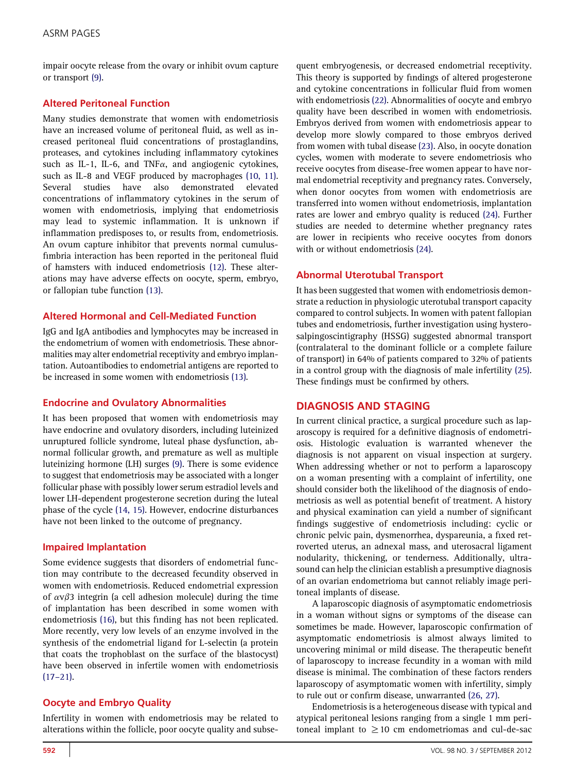impair oocyte release from the ovary or inhibit ovum capture or transport [\(9\).](#page-6-0)

# Altered Peritoneal Function

Many studies demonstrate that women with endometriosis have an increased volume of peritoneal fluid, as well as increased peritoneal fluid concentrations of prostaglandins, proteases, and cytokines including inflammatory cytokines such as IL-1, IL-6, and TNF $\alpha$ , and angiogenic cytokines, such as IL-8 and VEGF produced by macrophages [\(10, 11\).](#page-6-0) Several studies have also demonstrated elevated concentrations of inflammatory cytokines in the serum of women with endometriosis, implying that endometriosis may lead to systemic inflammation. It is unknown if inflammation predisposes to, or results from, endometriosis. An ovum capture inhibitor that prevents normal cumulusfimbria interaction has been reported in the peritoneal fluid of hamsters with induced endometriosis [\(12\).](#page-6-0) These alterations may have adverse effects on oocyte, sperm, embryo, or fallopian tube function [\(13\)](#page-6-0).

## Altered Hormonal and Cell-Mediated Function

IgG and IgA antibodies and lymphocytes may be increased in the endometrium of women with endometriosis. These abnormalities may alter endometrial receptivity and embryo implantation. Autoantibodies to endometrial antigens are reported to be increased in some women with endometriosis [\(13\).](#page-6-0)

## Endocrine and Ovulatory Abnormalities

It has been proposed that women with endometriosis may have endocrine and ovulatory disorders, including luteinized unruptured follicle syndrome, luteal phase dysfunction, abnormal follicular growth, and premature as well as multiple luteinizing hormone (LH) surges [\(9\).](#page-6-0) There is some evidence to suggest that endometriosis may be associated with a longer follicular phase with possibly lower serum estradiol levels and lower LH-dependent progesterone secretion during the luteal phase of the cycle [\(14, 15\)](#page-6-0). However, endocrine disturbances have not been linked to the outcome of pregnancy.

## Impaired Implantation

Some evidence suggests that disorders of endometrial function may contribute to the decreased fecundity observed in women with endometriosis. Reduced endometrial expression of  $\alpha \nu \beta$ 3 integrin (a cell adhesion molecule) during the time of implantation has been described in some women with endometriosis [\(16\),](#page-6-0) but this finding has not been replicated. More recently, very low levels of an enzyme involved in the synthesis of the endometrial ligand for L-selectin (a protein that coats the trophoblast on the surface of the blastocyst) have been observed in infertile women with endometriosis  $(17-21)$  $(17-21)$ .

## Oocyte and Embryo Quality

Infertility in women with endometriosis may be related to alterations within the follicle, poor oocyte quality and subsequent embryogenesis, or decreased endometrial receptivity. This theory is supported by findings of altered progesterone and cytokine concentrations in follicular fluid from women with endometriosis [\(22\)](#page-6-0). Abnormalities of oocyte and embryo quality have been described in women with endometriosis. Embryos derived from women with endometriosis appear to develop more slowly compared to those embryos derived from women with tubal disease [\(23\)](#page-6-0). Also, in oocyte donation cycles, women with moderate to severe endometriosis who receive oocytes from disease-free women appear to have normal endometrial receptivity and pregnancy rates. Conversely, when donor oocytes from women with endometriosis are transferred into women without endometriosis, implantation rates are lower and embryo quality is reduced [\(24\).](#page-6-0) Further studies are needed to determine whether pregnancy rates are lower in recipients who receive oocytes from donors with or without endometriosis [\(24\).](#page-6-0)

## Abnormal Uterotubal Transport

It has been suggested that women with endometriosis demonstrate a reduction in physiologic uterotubal transport capacity compared to control subjects. In women with patent fallopian tubes and endometriosis, further investigation using hysterosalpingoscintigraphy (HSSG) suggested abnormal transport (contralateral to the dominant follicle or a complete failure of transport) in 64% of patients compared to 32% of patients in a control group with the diagnosis of male infertility [\(25\).](#page-6-0) These findings must be confirmed by others.

#### DIAGNOSIS AND STAGING

In current clinical practice, a surgical procedure such as laparoscopy is required for a definitive diagnosis of endometriosis. Histologic evaluation is warranted whenever the diagnosis is not apparent on visual inspection at surgery. When addressing whether or not to perform a laparoscopy on a woman presenting with a complaint of infertility, one should consider both the likelihood of the diagnosis of endometriosis as well as potential benefit of treatment. A history and physical examination can yield a number of significant findings suggestive of endometriosis including: cyclic or chronic pelvic pain, dysmenorrhea, dyspareunia, a fixed retroverted uterus, an adnexal mass, and uterosacral ligament nodularity, thickening, or tenderness. Additionally, ultrasound can help the clinician establish a presumptive diagnosis of an ovarian endometrioma but cannot reliably image peritoneal implants of disease.

A laparoscopic diagnosis of asymptomatic endometriosis in a woman without signs or symptoms of the disease can sometimes be made. However, laparoscopic confirmation of asymptomatic endometriosis is almost always limited to uncovering minimal or mild disease. The therapeutic benefit of laparoscopy to increase fecundity in a woman with mild disease is minimal. The combination of these factors renders laparoscopy of asymptomatic women with infertility, simply to rule out or confirm disease, unwarranted [\(26, 27\).](#page-6-0)

Endometriosis is a heterogeneous disease with typical and atypical peritoneal lesions ranging from a single 1 mm peritoneal implant to  $\geq$  10 cm endometriomas and cul-de-sac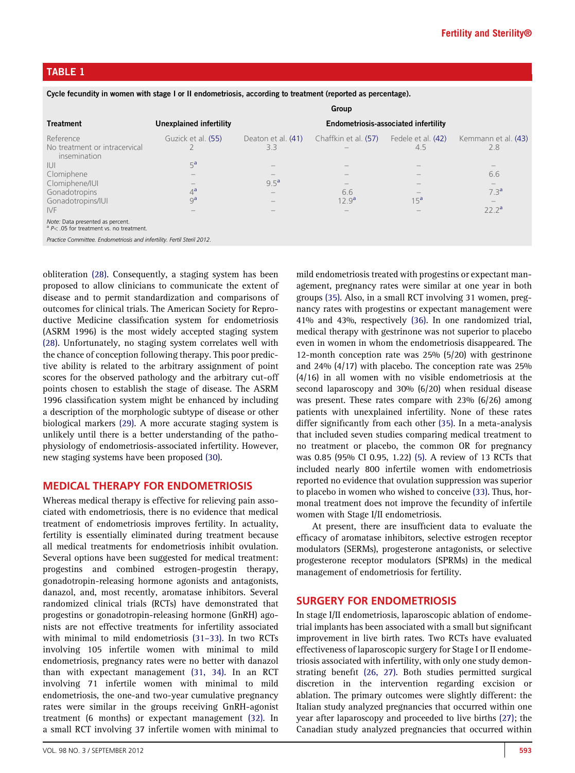# <span id="page-2-0"></span>TABLE 1

Cycle fecundity in women with stage I or II endometriosis, according to treatment (reported as percentage).

|                                                                                                                                          | Group                                                                                                                   |                                                                           |                                                                                     |                                              |                                                                                   |
|------------------------------------------------------------------------------------------------------------------------------------------|-------------------------------------------------------------------------------------------------------------------------|---------------------------------------------------------------------------|-------------------------------------------------------------------------------------|----------------------------------------------|-----------------------------------------------------------------------------------|
| <b>Treatment</b>                                                                                                                         | Unexplained infertility                                                                                                 | <b>Endometriosis-associated infertility</b>                               |                                                                                     |                                              |                                                                                   |
| Reference<br>No treatment or intracervical<br>insemination<br>-iui<br>Clomiphene<br>Clomiphene/IUI<br>Gonadotropins<br>Gonadotropins/IUI | Guzick et al. (55)<br>5 <sup>a</sup><br>$\overline{\phantom{a}}$<br>$\overline{\phantom{a}}$<br>$4^a$<br>9 <sup>a</sup> | Deaton et al. (41)<br>3.3<br>9.5 <sup>a</sup><br>$\overline{\phantom{a}}$ | Chaffkin et al. (57)<br>$\hspace{0.1mm}-\hspace{0.1mm}$<br>6.6<br>12.9 <sup>a</sup> | Fedele et al. (42)<br>4.5<br>15 <sup>a</sup> | Kemmann et al. (43)<br>2.8<br>6.6<br>$\overline{\phantom{a}}$<br>7.3 <sup>a</sup> |
| <b>IVF</b><br>Note: Data presented as percent.<br>$A^a$ P < .05 for treatment vs. no treatment.                                          |                                                                                                                         |                                                                           |                                                                                     |                                              | 22.2 <sup>a</sup>                                                                 |
| Practice Committee. Endometriosis and infertility. Fertil Steril 2012.                                                                   |                                                                                                                         |                                                                           |                                                                                     |                                              |                                                                                   |

obliteration [\(28\).](#page-6-0) Consequently, a staging system has been proposed to allow clinicians to communicate the extent of disease and to permit standardization and comparisons of outcomes for clinical trials. The American Society for Reproductive Medicine classification system for endometriosis (ASRM 1996) is the most widely accepted staging system [\(28\).](#page-6-0) Unfortunately, no staging system correlates well with the chance of conception following therapy. This poor predictive ability is related to the arbitrary assignment of point scores for the observed pathology and the arbitrary cut-off points chosen to establish the stage of disease. The ASRM 1996 classification system might be enhanced by including a description of the morphologic subtype of disease or other biological markers [\(29\)](#page-6-0). A more accurate staging system is unlikely until there is a better understanding of the pathophysiology of endometriosis-associated infertility. However, new staging systems have been proposed [\(30\).](#page-6-0)

#### MEDICAL THERAPY FOR ENDOMETRIOSIS

Whereas medical therapy is effective for relieving pain associated with endometriosis, there is no evidence that medical treatment of endometriosis improves fertility. In actuality, fertility is essentially eliminated during treatment because all medical treatments for endometriosis inhibit ovulation. Several options have been suggested for medical treatment: progestins and combined estrogen-progestin therapy, gonadotropin-releasing hormone agonists and antagonists, danazol, and, most recently, aromatase inhibitors. Several randomized clinical trials (RCTs) have demonstrated that progestins or gonadotropin-releasing hormone (GnRH) agonists are not effective treatments for infertility associated with minimal to mild endometriosis [\(31](#page-6-0)–33). In two RCTs involving 105 infertile women with minimal to mild endometriosis, pregnancy rates were no better with danazol than with expectant management [\(31, 34\).](#page-6-0) In an RCT involving 71 infertile women with minimal to mild endometriosis, the one-and two-year cumulative pregnancy rates were similar in the groups receiving GnRH-agonist treatment (6 months) or expectant management [\(32\)](#page-6-0). In a small RCT involving 37 infertile women with minimal to

mild endometriosis treated with progestins or expectant management, pregnancy rates were similar at one year in both groups [\(35\).](#page-6-0) Also, in a small RCT involving 31 women, pregnancy rates with progestins or expectant management were 41% and 43%, respectively [\(36\)](#page-6-0). In one randomized trial, medical therapy with gestrinone was not superior to placebo even in women in whom the endometriosis disappeared. The 12-month conception rate was 25% (5/20) with gestrinone and 24% (4/17) with placebo. The conception rate was 25% (4/16) in all women with no visible endometriosis at the second laparoscopy and 30% (6/20) when residual disease was present. These rates compare with 23% (6/26) among patients with unexplained infertility. None of these rates differ significantly from each other [\(35\)](#page-6-0). In a meta-analysis that included seven studies comparing medical treatment to no treatment or placebo, the common OR for pregnancy was 0.85 (95% CI 0.95, 1.22) [\(5\).](#page-6-0) A review of 13 RCTs that included nearly 800 infertile women with endometriosis reported no evidence that ovulation suppression was superior to placebo in women who wished to conceive [\(33\).](#page-6-0) Thus, hormonal treatment does not improve the fecundity of infertile women with Stage I/II endometriosis.

At present, there are insufficient data to evaluate the efficacy of aromatase inhibitors, selective estrogen receptor modulators (SERMs), progesterone antagonists, or selective progesterone receptor modulators (SPRMs) in the medical management of endometriosis for fertility.

#### SURGERY FOR ENDOMETRIOSIS

In stage I/II endometriosis, laparoscopic ablation of endometrial implants has been associated with a small but significant improvement in live birth rates. Two RCTs have evaluated effectiveness of laparoscopic surgery for Stage I or II endometriosis associated with infertility, with only one study demonstrating benefit [\(26, 27\).](#page-6-0) Both studies permitted surgical discretion in the intervention regarding excision or ablation. The primary outcomes were slightly different: the Italian study analyzed pregnancies that occurred within one year after laparoscopy and proceeded to live births [\(27\)](#page-6-0); the Canadian study analyzed pregnancies that occurred within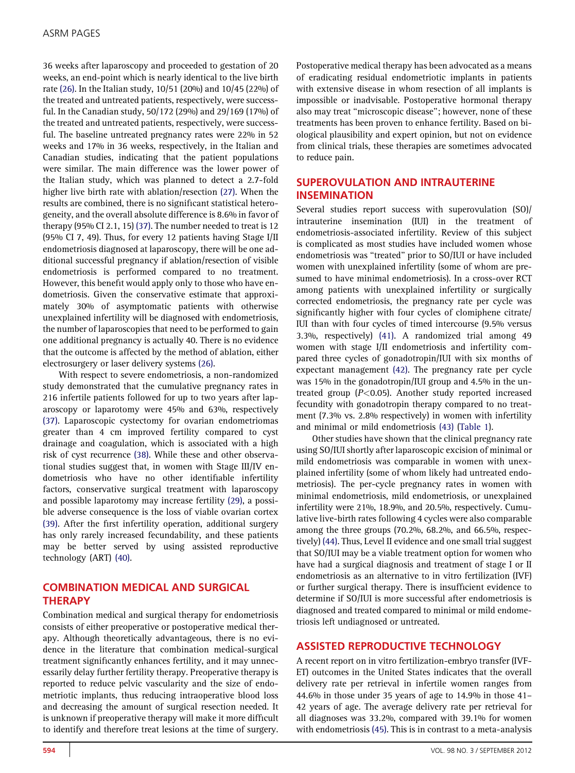36 weeks after laparoscopy and proceeded to gestation of 20 weeks, an end-point which is nearly identical to the live birth rate [\(26\).](#page-6-0) In the Italian study, 10/51 (20%) and 10/45 (22%) of the treated and untreated patients, respectively, were successful. In the Canadian study, 50/172 (29%) and 29/169 (17%) of the treated and untreated patients, respectively, were successful. The baseline untreated pregnancy rates were 22% in 52 weeks and 17% in 36 weeks, respectively, in the Italian and Canadian studies, indicating that the patient populations were similar. The main difference was the lower power of the Italian study, which was planned to detect a 2.7-fold higher live birth rate with ablation/resection [\(27\).](#page-6-0) When the results are combined, there is no significant statistical heterogeneity, and the overall absolute difference is 8.6% in favor of therapy (95% CI 2.1, 15) [\(37\)](#page-6-0). The number needed to treat is 12 (95% CI 7, 49). Thus, for every 12 patients having Stage I/II endometriosis diagnosed at laparoscopy, there will be one additional successful pregnancy if ablation/resection of visible endometriosis is performed compared to no treatment. However, this benefit would apply only to those who have endometriosis. Given the conservative estimate that approximately 30% of asymptomatic patients with otherwise unexplained infertility will be diagnosed with endometriosis, the number of laparoscopies that need to be performed to gain one additional pregnancy is actually 40. There is no evidence that the outcome is affected by the method of ablation, either electrosurgery or laser delivery systems [\(26\).](#page-6-0)

With respect to severe endometriosis, a non-randomized study demonstrated that the cumulative pregnancy rates in 216 infertile patients followed for up to two years after laparoscopy or laparotomy were 45% and 63%, respectively [\(37\).](#page-6-0) Laparoscopic cystectomy for ovarian endometriomas greater than 4 cm improved fertility compared to cyst drainage and coagulation, which is associated with a high risk of cyst recurrence [\(38\)](#page-6-0). While these and other observational studies suggest that, in women with Stage III/IV endometriosis who have no other identifiable infertility factors, conservative surgical treatment with laparoscopy and possible laparotomy may increase fertility [\(29\),](#page-6-0) a possible adverse consequence is the loss of viable ovarian cortex [\(39\).](#page-6-0) After the first infertility operation, additional surgery has only rarely increased fecundability, and these patients may be better served by using assisted reproductive technology (ART) [\(40\)](#page-6-0).

# COMBINATION MEDICAL AND SURGICAL **THERAPY**

Combination medical and surgical therapy for endometriosis consists of either preoperative or postoperative medical therapy. Although theoretically advantageous, there is no evidence in the literature that combination medical-surgical treatment significantly enhances fertility, and it may unnecessarily delay further fertility therapy. Preoperative therapy is reported to reduce pelvic vascularity and the size of endometriotic implants, thus reducing intraoperative blood loss and decreasing the amount of surgical resection needed. It is unknown if preoperative therapy will make it more difficult to identify and therefore treat lesions at the time of surgery.

Postoperative medical therapy has been advocated as a means of eradicating residual endometriotic implants in patients with extensive disease in whom resection of all implants is impossible or inadvisable. Postoperative hormonal therapy also may treat ''microscopic disease''; however, none of these treatments has been proven to enhance fertility. Based on biological plausibility and expert opinion, but not on evidence from clinical trials, these therapies are sometimes advocated to reduce pain.

# SUPEROVULATION AND INTRAUTERINE INSEMINATION

Several studies report success with superovulation (SO)/ intrauterine insemination (IUI) in the treatment of endometriosis-associated infertility. Review of this subject is complicated as most studies have included women whose endometriosis was ''treated'' prior to SO/IUI or have included women with unexplained infertility (some of whom are presumed to have minimal endometriosis). In a cross-over RCT among patients with unexplained infertility or surgically corrected endometriosis, the pregnancy rate per cycle was significantly higher with four cycles of clomiphene citrate/ IUI than with four cycles of timed intercourse (9.5% versus 3.3%, respectively) [\(41\).](#page-6-0) A randomized trial among 49 women with stage I/II endometriosis and infertility compared three cycles of gonadotropin/IUI with six months of expectant management [\(42\).](#page-6-0) The pregnancy rate per cycle was 15% in the gonadotropin/IUI group and 4.5% in the untreated group ( $P<0.05$ ). Another study reported increased fecundity with gonadotropin therapy compared to no treatment (7.3% vs. 2.8% respectively) in women with infertility and minimal or mild endometriosis [\(43\)](#page-6-0) ([Table 1\)](#page-2-0).

Other studies have shown that the clinical pregnancy rate using SO/IUI shortly after laparoscopic excision of minimal or mild endometriosis was comparable in women with unexplained infertility (some of whom likely had untreated endometriosis). The per-cycle pregnancy rates in women with minimal endometriosis, mild endometriosis, or unexplained infertility were 21%, 18.9%, and 20.5%, respectively. Cumulative live-birth rates following 4 cycles were also comparable among the three groups (70.2%, 68.2%, and 66.5%, respectively) [\(44\)](#page-6-0). Thus, Level II evidence and one small trial suggest that SO/IUI may be a viable treatment option for women who have had a surgical diagnosis and treatment of stage I or II endometriosis as an alternative to in vitro fertilization (IVF) or further surgical therapy. There is insufficient evidence to determine if SO/IUI is more successful after endometriosis is diagnosed and treated compared to minimal or mild endometriosis left undiagnosed or untreated.

## ASSISTED REPRODUCTIVE TECHNOLOGY

A recent report on in vitro fertilization-embryo transfer (IVF-ET) outcomes in the United States indicates that the overall delivery rate per retrieval in infertile women ranges from 44.6% in those under 35 years of age to 14.9% in those 41– 42 years of age. The average delivery rate per retrieval for all diagnoses was 33.2%, compared with 39.1% for women with endometriosis [\(45\)](#page-6-0). This is in contrast to a meta-analysis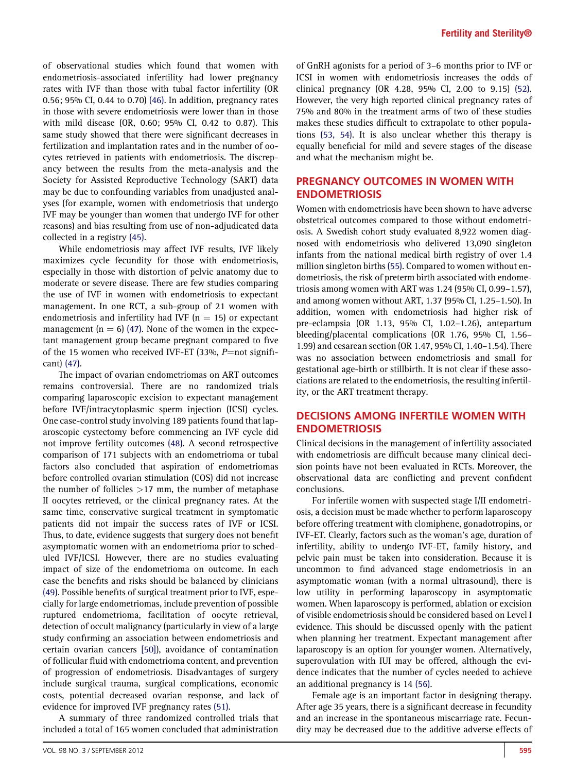of observational studies which found that women with endometriosis-associated infertility had lower pregnancy rates with IVF than those with tubal factor infertility (OR 0.56; 95% CI, 0.44 to 0.70) [\(46\)](#page-6-0). In addition, pregnancy rates in those with severe endometriosis were lower than in those with mild disease (OR, 0.60; 95% CI, 0.42 to 0.87). This same study showed that there were significant decreases in fertilization and implantation rates and in the number of oocytes retrieved in patients with endometriosis. The discrepancy between the results from the meta-analysis and the Society for Assisted Reproductive Technology (SART) data may be due to confounding variables from unadjusted analyses (for example, women with endometriosis that undergo IVF may be younger than women that undergo IVF for other reasons) and bias resulting from use of non-adjudicated data collected in a registry [\(45\)](#page-6-0).

While endometriosis may affect IVF results, IVF likely maximizes cycle fecundity for those with endometriosis, especially in those with distortion of pelvic anatomy due to moderate or severe disease. There are few studies comparing the use of IVF in women with endometriosis to expectant management. In one RCT, a sub-group of 21 women with endometriosis and infertility had IVF ( $n = 15$ ) or expectant management ( $n = 6$ ) [\(47\).](#page-7-0) None of the women in the expectant management group became pregnant compared to five of the 15 women who received IVF-ET (33%,  $P=$ not significant) [\(47\).](#page-7-0)

The impact of ovarian endometriomas on ART outcomes remains controversial. There are no randomized trials comparing laparoscopic excision to expectant management before IVF/intracytoplasmic sperm injection (ICSI) cycles. One case-control study involving 189 patients found that laparoscopic cystectomy before commencing an IVF cycle did not improve fertility outcomes [\(48\)](#page-7-0). A second retrospective comparison of 171 subjects with an endometrioma or tubal factors also concluded that aspiration of endometriomas before controlled ovarian stimulation (COS) did not increase the number of follicles  $>17$  mm, the number of metaphase II oocytes retrieved, or the clinical pregnancy rates. At the same time, conservative surgical treatment in symptomatic patients did not impair the success rates of IVF or ICSI. Thus, to date, evidence suggests that surgery does not benefit asymptomatic women with an endometrioma prior to scheduled IVF/ICSI. However, there are no studies evaluating impact of size of the endometrioma on outcome. In each case the benefits and risks should be balanced by clinicians [\(49\).](#page-7-0) Possible benefits of surgical treatment prior to IVF, especially for large endometriomas, include prevention of possible ruptured endometrioma, facilitation of oocyte retrieval, detection of occult malignancy (particularly in view of a large study confirming an association between endometriosis and certain ovarian cancers [\[50\]\)](#page-7-0), avoidance of contamination of follicular fluid with endometrioma content, and prevention of progression of endometriosis. Disadvantages of surgery include surgical trauma, surgical complications, economic costs, potential decreased ovarian response, and lack of evidence for improved IVF pregnancy rates [\(51\).](#page-7-0)

A summary of three randomized controlled trials that included a total of 165 women concluded that administration

of GnRH agonists for a period of 3–6 months prior to IVF or ICSI in women with endometriosis increases the odds of clinical pregnancy (OR 4.28, 95% CI, 2.00 to 9.15) [\(52\).](#page-7-0) However, the very high reported clinical pregnancy rates of 75% and 80% in the treatment arms of two of these studies makes these studies difficult to extrapolate to other populations [\(53, 54\).](#page-7-0) It is also unclear whether this therapy is equally beneficial for mild and severe stages of the disease and what the mechanism might be.

## PREGNANCY OUTCOMES IN WOMEN WITH ENDOMETRIOSIS

Women with endometriosis have been shown to have adverse obstetrical outcomes compared to those without endometriosis. A Swedish cohort study evaluated 8,922 women diagnosed with endometriosis who delivered 13,090 singleton infants from the national medical birth registry of over 1.4 million singleton births[\(55\)](#page-7-0). Compared to women without endometriosis, the risk of preterm birth associated with endometriosis among women with ART was 1.24 (95% CI, 0.99–1.57), and among women without ART, 1.37 (95% CI, 1.25–1.50). In addition, women with endometriosis had higher risk of pre-eclampsia (OR 1.13, 95% CI, 1.02–1.26), antepartum bleeding/placental complications (OR 1.76, 95% CI, 1.56– 1.99) and cesarean section (OR 1.47, 95% CI, 1.40–1.54). There was no association between endometriosis and small for gestational age-birth or stillbirth. It is not clear if these associations are related to the endometriosis, the resulting infertility, or the ART treatment therapy.

## DECISIONS AMONG INFERTILE WOMEN WITH ENDOMETRIOSIS

Clinical decisions in the management of infertility associated with endometriosis are difficult because many clinical decision points have not been evaluated in RCTs. Moreover, the observational data are conflicting and prevent confident conclusions.

For infertile women with suspected stage I/II endometriosis, a decision must be made whether to perform laparoscopy before offering treatment with clomiphene, gonadotropins, or IVF-ET. Clearly, factors such as the woman's age, duration of infertility, ability to undergo IVF-ET, family history, and pelvic pain must be taken into consideration. Because it is uncommon to find advanced stage endometriosis in an asymptomatic woman (with a normal ultrasound), there is low utility in performing laparoscopy in asymptomatic women. When laparoscopy is performed, ablation or excision of visible endometriosis should be considered based on Level I evidence. This should be discussed openly with the patient when planning her treatment. Expectant management after laparoscopy is an option for younger women. Alternatively, superovulation with IUI may be offered, although the evidence indicates that the number of cycles needed to achieve an additional pregnancy is 14 [\(56\)](#page-7-0).

Female age is an important factor in designing therapy. After age 35 years, there is a significant decrease in fecundity and an increase in the spontaneous miscarriage rate. Fecundity may be decreased due to the additive adverse effects of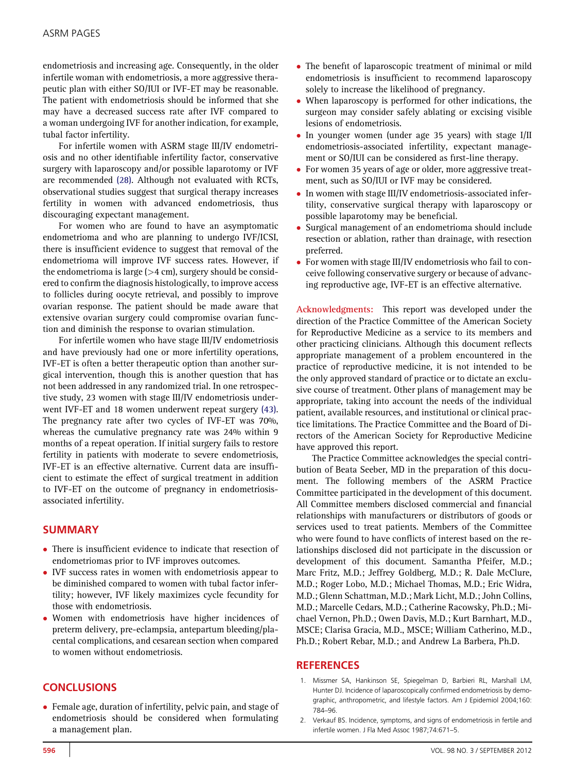<span id="page-5-0"></span>endometriosis and increasing age. Consequently, in the older infertile woman with endometriosis, a more aggressive therapeutic plan with either SO/IUI or IVF-ET may be reasonable. The patient with endometriosis should be informed that she may have a decreased success rate after IVF compared to a woman undergoing IVF for another indication, for example, tubal factor infertility.

For infertile women with ASRM stage III/IV endometriosis and no other identifiable infertility factor, conservative surgery with laparoscopy and/or possible laparotomy or IVF are recommended [\(28\).](#page-6-0) Although not evaluated with RCTs, observational studies suggest that surgical therapy increases fertility in women with advanced endometriosis, thus discouraging expectant management.

For women who are found to have an asymptomatic endometrioma and who are planning to undergo IVF/ICSI, there is insufficient evidence to suggest that removal of the endometrioma will improve IVF success rates. However, if the endometrioma is large  $(>4 \text{ cm})$ , surgery should be considered to confirm the diagnosis histologically, to improve access to follicles during oocyte retrieval, and possibly to improve ovarian response. The patient should be made aware that extensive ovarian surgery could compromise ovarian function and diminish the response to ovarian stimulation.

For infertile women who have stage III/IV endometriosis and have previously had one or more infertility operations, IVF-ET is often a better therapeutic option than another surgical intervention, though this is another question that has not been addressed in any randomized trial. In one retrospective study, 23 women with stage III/IV endometriosis underwent IVF-ET and 18 women underwent repeat surgery [\(43\).](#page-6-0) The pregnancy rate after two cycles of IVF-ET was 70%, whereas the cumulative pregnancy rate was 24% within 9 months of a repeat operation. If initial surgery fails to restore fertility in patients with moderate to severe endometriosis, IVF-ET is an effective alternative. Current data are insufficient to estimate the effect of surgical treatment in addition to IVF-ET on the outcome of pregnancy in endometriosisassociated infertility.

## SUMMARY

- There is insufficient evidence to indicate that resection of endometriomas prior to IVF improves outcomes.
- IVF success rates in women with endometriosis appear to be diminished compared to women with tubal factor infertility; however, IVF likely maximizes cycle fecundity for those with endometriosis.
- Women with endometriosis have higher incidences of preterm delivery, pre-eclampsia, antepartum bleeding/placental complications, and cesarean section when compared to women without endometriosis.

# **CONCLUSIONS**

- Female age, duration of infertility, pelvic pain, and stage of endometriosis should be considered when formulating a management plan.

- The benefit of laparoscopic treatment of minimal or mild endometriosis is insufficient to recommend laparoscopy solely to increase the likelihood of pregnancy.
- When laparoscopy is performed for other indications, the surgeon may consider safely ablating or excising visible lesions of endometriosis.
- In younger women (under age 35 years) with stage I/II endometriosis-associated infertility, expectant management or SO/IUI can be considered as first-line therapy.
- For women 35 years of age or older, more aggressive treatment, such as SO/IUI or IVF may be considered.
- In women with stage III/IV endometriosis-associated infertility, conservative surgical therapy with laparoscopy or possible laparotomy may be beneficial.
- $\bullet$  Surgical management of an endometrioma should include resection or ablation, rather than drainage, with resection preferred.
- For women with stage III/IV endometriosis who fail to conceive following conservative surgery or because of advancing reproductive age, IVF-ET is an effective alternative.

Acknowledgments: This report was developed under the direction of the Practice Committee of the American Society for Reproductive Medicine as a service to its members and other practicing clinicians. Although this document reflects appropriate management of a problem encountered in the practice of reproductive medicine, it is not intended to be the only approved standard of practice or to dictate an exclusive course of treatment. Other plans of management may be appropriate, taking into account the needs of the individual patient, available resources, and institutional or clinical practice limitations. The Practice Committee and the Board of Directors of the American Society for Reproductive Medicine have approved this report.

The Practice Committee acknowledges the special contribution of Beata Seeber, MD in the preparation of this document. The following members of the ASRM Practice Committee participated in the development of this document. All Committee members disclosed commercial and financial relationships with manufacturers or distributors of goods or services used to treat patients. Members of the Committee who were found to have conflicts of interest based on the relationships disclosed did not participate in the discussion or development of this document. Samantha Pfeifer, M.D.; Marc Fritz, M.D.; Jeffrey Goldberg, M.D.; R. Dale McClure, M.D.; Roger Lobo, M.D.; Michael Thomas, M.D.; Eric Widra, M.D.; Glenn Schattman, M.D.; Mark Licht, M.D.; John Collins, M.D.; Marcelle Cedars, M.D.; Catherine Racowsky, Ph.D.; Michael Vernon, Ph.D.; Owen Davis, M.D.; Kurt Barnhart, M.D., MSCE; Clarisa Gracia, M.D., MSCE; William Catherino, M.D., Ph.D.; Robert Rebar, M.D.; and Andrew La Barbera, Ph.D.

#### **REFERENCES**

- 1. Missmer SA, Hankinson SE, Spiegelman D, Barbieri RL, Marshall LM, Hunter DJ. Incidence of laparoscopically confirmed endometriosis by demographic, anthropometric, and lifestyle factors. Am J Epidemiol 2004;160: 784–96.
- 2. Verkauf BS. Incidence, symptoms, and signs of endometriosis in fertile and infertile women. J Fla Med Assoc 1987;74:671–5.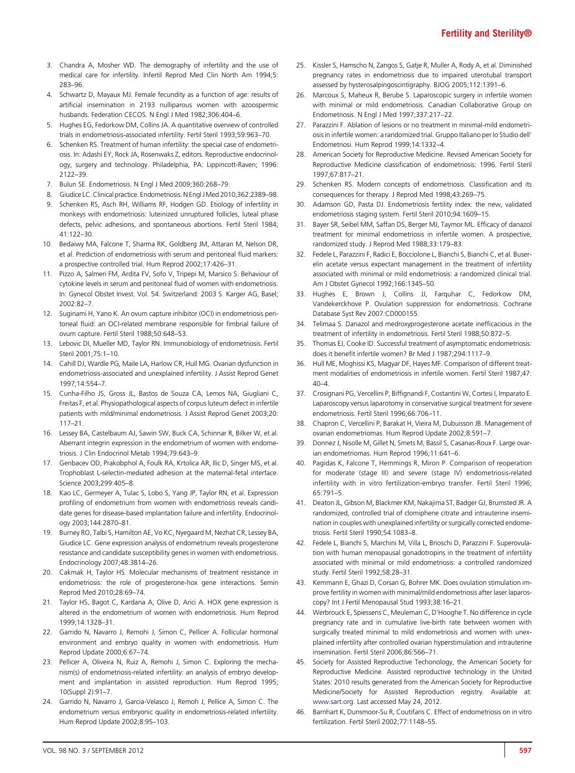- <span id="page-6-0"></span>3. Chandra A, Mosher WD. The demography of infertility and the use of medical care for infertility. Infertil Reprod Med Clin North Am 1994;5: 283–96.
- 4. Schwartz D, Mayaux MJ. Female fecundity as a function of age: results of artificial insemination in 2193 nulliparous women with azoospermic husbands. Federation CECOS. N Engl J Med 1982;306:404–6.
- 5. Hughes EG, Fedorkow DM, Collins JA. A quantitative overview of controlled trials in endometriosis-associated infertility. Fertil Steril 1993;59:963–70.
- 6. Schenken RS. Treatment of human infertility: the special case of endometriosis. In: Adashi EY, Rock JA, Rosenwaks Z, editors. Reproductive endocrinology, surgery and technology. Philadelphia, PA: Lippincott-Raven; 1996: 2122–39.
- 7. Bulun SE. Endometriosis. N Engl J Med 2009;360:268–79.
- 8. Giudice LC.Clinical practice. Endometriosis. N Engl J Med 2010;362:2389–98.
- 9. Schenken RS, Asch RH, Williams RF, Hodgen GD. Etiology of infertility in monkeys with endometriosis: luteinized unruptured follicles, luteal phase defects, pelvic adhesions, and spontaneous abortions. Fertil Steril 1984; 41:122–30.
- 10. Bedaiwy MA, Falcone T, Sharma RK, Goldberg JM, Attaran M, Nelson DR, et al. Prediction of endometriosis with serum and peritoneal fluid markers: a prospective controlled trial. Hum Reprod 2002;17:426–31.
- 11. Pizzo A, Salmeri FM, Ardita FV, Sofo V, Tripepi M, Marsico S. Behaviour of cytokine levels in serum and peritoneal fluid of women with endometriosis. In: Gynecol Obstet Invest. Vol. 54. Switzerland: 2003 S. Karger AG, Basel; 2002:82–7.
- 12. Suginami H, Yano K. An ovum capture inhibitor (OCI) in endometriosis peritoneal fluid: an OCI-related membrane responsible for fimbrial failure of ovum capture. Fertil Steril 1988;50:648–53.
- 13. Lebovic DI, Mueller MD, Taylor RN. Immunobiology of endometriosis. Fertil Steril 2001;75:1–10.
- 14. Cahill DJ, Wardle PG, Maile LA, Harlow CR, Hull MG. Ovarian dysfunction in endometriosis-associated and unexplained infertility. J Assist Reprod Genet 1997;14:554–7.
- 15. Cunha-Filho JS, Gross JL, Bastos de Souza CA, Lemos NA, Giugliani C, Freitas F, et al. Physiopathological aspects of corpus luteum defect in infertile patients with mild/minimal endometriosis. J Assist Reprod Genet 2003;20: 117–21.
- 16. Lessey BA, Castelbaum AJ, Sawin SW, Buck CA, Schinnar R, Bilker W, et al. Aberrant integrin expression in the endometrium of women with endometriosis. J Clin Endocrinol Metab 1994;79:643–9.
- 17. Genbacev OD, Prakobphol A, Foulk RA, Krtolica AR, Ilic D, Singer MS, et al. Trophoblast L-selectin-mediated adhesion at the maternal-fetal interface. Science 2003;299:405–8.
- 18. Kao LC, Germeyer A, Tulac S, Lobo S, Yang JP, Taylor RN, et al. Expression profiling of endometrium from women with endometriosis reveals candidate genes for disease-based implantation failure and infertility. Endocrinology 2003;144:2870–81.
- 19. Burney RO, Talbi S, Hamilton AE, Vo KC, Nyegaard M, Nezhat CR, Lessey BA, Giudice LC. Gene expression analysis of endometrium reveals progesterone resistance and candidate susceptibility genes in women with endometriosis. Endocrinology 2007;48:3814–26.
- 20. Cakmak H, Taylor HS. Molecular mechanisms of treatment resistance in endometriosis: the role of progesterone-hox gene interactions. Semin Reprod Med 2010;28:69–74.
- 21. Taylor HS, Bagot C, Kardana A, Olive D, Arici A. HOX gene expression is altered in the endometrium of women with endometriosis. Hum Reprod 1999;14:1328–31.
- 22. Garrido N, Navarro J, Remohi J, Simon C, Pellicer A. Follicular hormonal environment and embryo quality in women with endometriosis. Hum Reprod Update 2000;6:67–74.
- 23. Pellicer A, Oliveira N, Ruiz A, Remohi J, Simon C. Exploring the mechanism(s) of endometriosis-related infertility: an analysis of embryo development and implantation in assisted reproduction. Hum Reprod 1995; 10(Suppl 2):91–7.
- 24. Garrido N, Navarro J, Garcia-Velasco J, Remoh J, Pellice A, Simon C. The endometrium versus embryonic quality in endometriosis-related infertility. Hum Reprod Update 2002;8:95–103.
- 25. Kissler S, Hamscho N, Zangos S, Gatje R, Muller A, Rody A, et al. Diminished pregnancy rates in endometriosis due to impaired uterotubal transport assessed by hysterosalpingoscintigraphy. BJOG 2005;112:1391–6.
- 26. Marcoux S, Maheux R, Berube S. Laparoscopic surgery in infertile women with minimal or mild endometriosis. Canadian Collaborative Group on Endometriosis. N Engl J Med 1997;337:217–22.
- 27. Parazzini F. Ablation of lesions or no treatment in minimal-mild endometriosis in infertile women: a randomized trial. Gruppo Italiano per lo Studio dell' Endometriosi. Hum Reprod 1999;14:1332–4.
- 28. American Society for Reproductive Medicine. Revised American Society for Reproductive Medicine classification of endometriosis: 1996. Fertil Steril 1997;67:817–21.
- 29. Schenken RS. Modern concepts of endometriosis. Classification and its consequences for therapy. J Reprod Med 1998;43:269–75.
- 30. Adamson GD, Pasta DJ. Endometriosis fertility index: the new, validated endometriosis staging system. Fertil Steril 2010;94:1609–15.
- 31. Bayer SR, Seibel MM, Saffan DS, Berger MJ, Taymor ML. Efficacy of danazol treatment for minimal endometriosis in infertile women. A prospective, randomized study. J Reprod Med 1988;33:179–83.
- 32. Fedele L, Parazzini F, Radici E, Bocciolone L, Bianchi S, Bianchi C, et al. Buserelin acetate versus expectant management in the treatment of infertility associated with minimal or mild endometriosis: a randomized clinical trial. Am J Obstet Gynecol 1992;166:1345–50.
- 33. Hughes E, Brown J, Collins JJ, Farquhar C, Fedorkow DM, Vandekerckhove P. Ovulation suppression for endometriosis. Cochrane Database Syst Rev 2007:CD000155.
- 34. Telimaa S. Danazol and medroxyprogesterone acetate inefficacious in the treatment of infertility in endometriosis. Fertil Steril 1988;50:872–5.
- 35. Thomas EJ, Cooke ID. Successful treatment of asymptomatic endometriosis: does it benefit infertile women? Br Med J 1987;294:1117–9.
- 36. Hull ME, Moghissi KS, Magyar DF, Hayes MF. Comparison of different treatment modalities of endometriosis in infertile women. Fertil Steril 1987;47:  $40-4.$
- 37. Crosignani PG, Vercellini P, Biffignandi F, Costantini W, Cortesi I, Imparato E. Laparoscopy versus laparotomy in conservative surgical treatment for severe endometriosis. Fertil Steril 1996;66:706–11.
- 38. Chapron C, Vercellini P, Barakat H, Vieira M, Dubuisson JB. Management of ovarian endometriomas. Hum Reprod Update 2002;8:591–7.
- 39. Donnez J, Nisolle M, Gillet N, Smets M, Bassil S, Casanas-Roux F. Large ovarian endometriomas. Hum Reprod 1996;11:641–6.
- 40. Pagidas K, Falcone T, Hemmings R, Miron P. Comparison of reoperation for moderate (stage III) and severe (stage IV) endometriosis-related infertility with in vitro fertilization-embryo transfer. Fertil Steril 1996; 65:791–5.
- 41. Deaton JL, Gibson M, Blackmer KM, Nakajima ST, Badger GJ, Brumsted JR. A randomized, controlled trial of clomiphene citrate and intrauterine insemination in couples with unexplained infertility or surgically corrected endometriosis. Fertil Steril 1990;54:1083–8.
- 42. Fedele L, Bianchi S, Marchini M, Villa L, Brioschi D, Parazzini F. Superovulation with human menopausal gonadotropins in the treatment of infertility associated with minimal or mild endometriosis: a controlled randomized study. Fertil Steril 1992;58:28–31.
- 43. Kemmann E, Ghazi D, Corsan G, Bohrer MK. Does ovulation stimulation improve fertility in women with minimal/mild endometriosis after laser laparoscopy? Int J Fertil Menopausal Stud 1993;38:16–21.
- 44. Werbrouck E, Spiessens C, Meuleman C, D'Hooghe T. No difference in cycle pregnancy rate and in cumulative live-birth rate between women with surgically treated minimal to mild endometriosis and women with unexplained infertility after controlled ovarian hyperstimulation and intrauterine insemination. Fertil Steril 2006;86:566–71.
- 45. Society for Assisted Reproductive Techonology, the American Society for Reproductive Medicine. Assisted reproductive technology in the United States: 2010 results generated from the American Society for Reproductive Medicine/Society for Assisted Reproduction registry. Available at: [www.sart.org](http://www.sart.org). Last accessed May 24, 2012.
- 46. Barnhart K, Dunsmoor-Su R, Coutifaris C. Effect of endometriosis on in vitro fertilization. Fertil Steril 2002;77:1148–55.